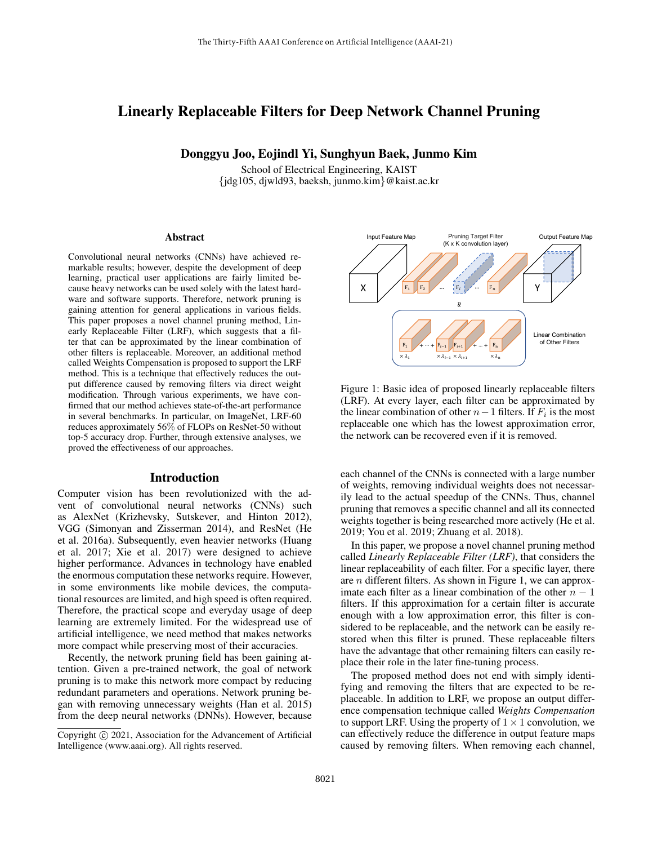# Linearly Replaceable Filters for Deep Network Channel Pruning

Donggyu Joo, Eojindl Yi, Sunghyun Baek, Junmo Kim

School of Electrical Engineering, KAIST {jdg105, djwld93, baeksh, junmo.kim}@kaist.ac.kr

#### Abstract

Convolutional neural networks (CNNs) have achieved remarkable results; however, despite the development of deep learning, practical user applications are fairly limited because heavy networks can be used solely with the latest hardware and software supports. Therefore, network pruning is gaining attention for general applications in various fields. This paper proposes a novel channel pruning method, Linearly Replaceable Filter (LRF), which suggests that a filter that can be approximated by the linear combination of other filters is replaceable. Moreover, an additional method called Weights Compensation is proposed to support the LRF method. This is a technique that effectively reduces the output difference caused by removing filters via direct weight modification. Through various experiments, we have confirmed that our method achieves state-of-the-art performance in several benchmarks. In particular, on ImageNet, LRF-60 reduces approximately 56% of FLOPs on ResNet-50 without top-5 accuracy drop. Further, through extensive analyses, we proved the effectiveness of our approaches.

### Introduction

Computer vision has been revolutionized with the advent of convolutional neural networks (CNNs) such as AlexNet (Krizhevsky, Sutskever, and Hinton 2012), VGG (Simonyan and Zisserman 2014), and ResNet (He et al. 2016a). Subsequently, even heavier networks (Huang et al. 2017; Xie et al. 2017) were designed to achieve higher performance. Advances in technology have enabled the enormous computation these networks require. However, in some environments like mobile devices, the computational resources are limited, and high speed is often required. Therefore, the practical scope and everyday usage of deep learning are extremely limited. For the widespread use of artificial intelligence, we need method that makes networks more compact while preserving most of their accuracies.

Recently, the network pruning field has been gaining attention. Given a pre-trained network, the goal of network pruning is to make this network more compact by reducing redundant parameters and operations. Network pruning began with removing unnecessary weights (Han et al. 2015) from the deep neural networks (DNNs). However, because



Figure 1: Basic idea of proposed linearly replaceable filters (LRF). At every layer, each filter can be approximated by the linear combination of other  $n-1$  filters. If  $F_i$  is the most replaceable one which has the lowest approximation error, the network can be recovered even if it is removed.

each channel of the CNNs is connected with a large number of weights, removing individual weights does not necessarily lead to the actual speedup of the CNNs. Thus, channel pruning that removes a specific channel and all its connected weights together is being researched more actively (He et al. 2019; You et al. 2019; Zhuang et al. 2018).

In this paper, we propose a novel channel pruning method called *Linearly Replaceable Filter (LRF)*, that considers the linear replaceability of each filter. For a specific layer, there are  $n$  different filters. As shown in Figure 1, we can approximate each filter as a linear combination of the other  $n - 1$ filters. If this approximation for a certain filter is accurate enough with a low approximation error, this filter is considered to be replaceable, and the network can be easily restored when this filter is pruned. These replaceable filters have the advantage that other remaining filters can easily replace their role in the later fine-tuning process.

The proposed method does not end with simply identifying and removing the filters that are expected to be replaceable. In addition to LRF, we propose an output difference compensation technique called *Weights Compensation* to support LRF. Using the property of  $1 \times 1$  convolution, we can effectively reduce the difference in output feature maps caused by removing filters. When removing each channel,

Copyright (c) 2021, Association for the Advancement of Artificial Intelligence (www.aaai.org). All rights reserved.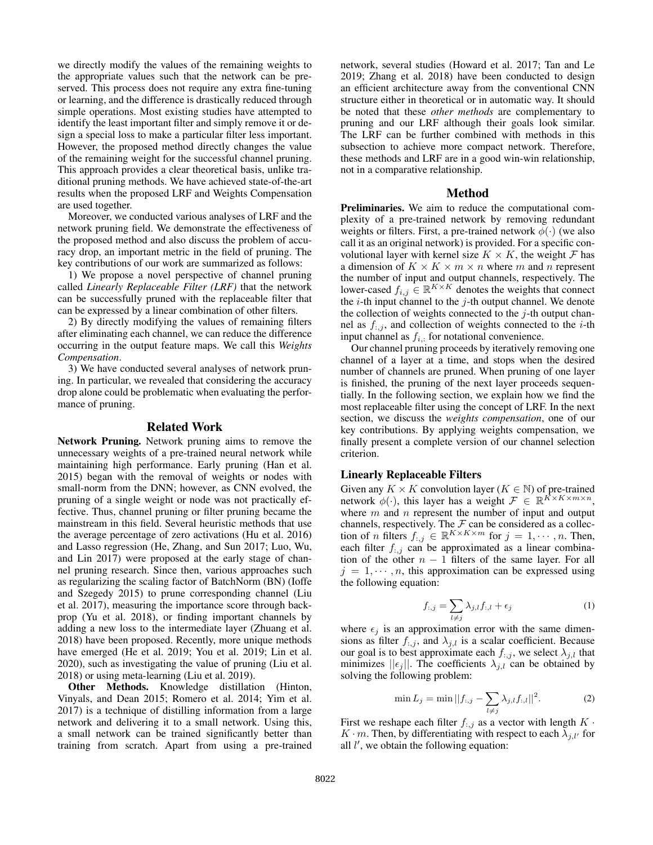we directly modify the values of the remaining weights to the appropriate values such that the network can be preserved. This process does not require any extra fine-tuning or learning, and the difference is drastically reduced through simple operations. Most existing studies have attempted to identify the least important filter and simply remove it or design a special loss to make a particular filter less important. However, the proposed method directly changes the value of the remaining weight for the successful channel pruning. This approach provides a clear theoretical basis, unlike traditional pruning methods. We have achieved state-of-the-art results when the proposed LRF and Weights Compensation are used together.

Moreover, we conducted various analyses of LRF and the network pruning field. We demonstrate the effectiveness of the proposed method and also discuss the problem of accuracy drop, an important metric in the field of pruning. The key contributions of our work are summarized as follows:

1) We propose a novel perspective of channel pruning called *Linearly Replaceable Filter (LRF)* that the network can be successfully pruned with the replaceable filter that can be expressed by a linear combination of other filters.

2) By directly modifying the values of remaining filters after eliminating each channel, we can reduce the difference occurring in the output feature maps. We call this *Weights Compensation*.

3) We have conducted several analyses of network pruning. In particular, we revealed that considering the accuracy drop alone could be problematic when evaluating the performance of pruning.

### Related Work

Network Pruning. Network pruning aims to remove the unnecessary weights of a pre-trained neural network while maintaining high performance. Early pruning (Han et al. 2015) began with the removal of weights or nodes with small-norm from the DNN; however, as CNN evolved, the pruning of a single weight or node was not practically effective. Thus, channel pruning or filter pruning became the mainstream in this field. Several heuristic methods that use the average percentage of zero activations (Hu et al. 2016) and Lasso regression (He, Zhang, and Sun 2017; Luo, Wu, and Lin 2017) were proposed at the early stage of channel pruning research. Since then, various approaches such as regularizing the scaling factor of BatchNorm (BN) (Ioffe and Szegedy 2015) to prune corresponding channel (Liu et al. 2017), measuring the importance score through backprop (Yu et al. 2018), or finding important channels by adding a new loss to the intermediate layer (Zhuang et al. 2018) have been proposed. Recently, more unique methods have emerged (He et al. 2019; You et al. 2019; Lin et al. 2020), such as investigating the value of pruning (Liu et al. 2018) or using meta-learning (Liu et al. 2019).

Other Methods. Knowledge distillation (Hinton, Vinyals, and Dean 2015; Romero et al. 2014; Yim et al. 2017) is a technique of distilling information from a large network and delivering it to a small network. Using this, a small network can be trained significantly better than training from scratch. Apart from using a pre-trained network, several studies (Howard et al. 2017; Tan and Le 2019; Zhang et al. 2018) have been conducted to design an efficient architecture away from the conventional CNN structure either in theoretical or in automatic way. It should be noted that these *other methods* are complementary to pruning and our LRF although their goals look similar. The LRF can be further combined with methods in this subsection to achieve more compact network. Therefore, these methods and LRF are in a good win-win relationship, not in a comparative relationship.

## Method

Preliminaries. We aim to reduce the computational complexity of a pre-trained network by removing redundant weights or filters. First, a pre-trained network  $\phi(\cdot)$  (we also call it as an original network) is provided. For a specific convolutional layer with kernel size  $K \times K$ , the weight  $\mathcal F$  has a dimension of  $K \times K \times m \times n$  where m and n represent the number of input and output channels, respectively. The lower-cased  $f_{i,j} \in \mathbb{R}^{K \times K}$  denotes the weights that connect the  $i$ -th input channel to the  $j$ -th output channel. We denote the collection of weights connected to the  $j$ -th output channel as  $f_{:,j}$ , and collection of weights connected to the *i*-th input channel as  $f_i$ , for notational convenience.

Our channel pruning proceeds by iteratively removing one channel of a layer at a time, and stops when the desired number of channels are pruned. When pruning of one layer is finished, the pruning of the next layer proceeds sequentially. In the following section, we explain how we find the most replaceable filter using the concept of LRF. In the next section, we discuss the *weights compensation*, one of our key contributions. By applying weights compensation, we finally present a complete version of our channel selection criterion.

## Linearly Replaceable Filters

Given any  $K \times K$  convolution layer  $(K \in \mathbb{N})$  of pre-trained network  $\phi(\cdot)$ , this layer has a weight  $\mathcal{F} \in \mathbb{R}^{K \times K \times m \times n}$ , where  $m$  and  $n$  represent the number of input and output channels, respectively. The  $\mathcal F$  can be considered as a collection of *n* filters  $f_{:,j} \in \mathbb{R}^{K \times K \times m}$  for  $j = 1, \dots, n$ . Then, each filter  $f_{:,j}$  can be approximated as a linear combination of the other  $n - 1$  filters of the same layer. For all  $j = 1, \dots, n$ , this approximation can be expressed using the following equation:

$$
f_{:,j} = \sum_{l \neq j} \lambda_{j,l} f_{:,l} + \epsilon_j \tag{1}
$$

where  $\epsilon_i$  is an approximation error with the same dimensions as filter  $f_{:,j}$ , and  $\lambda_{j,l}$  is a scalar coefficient. Because our goal is to best approximate each  $f_{:,j}$ , we select  $\lambda_{j,l}$  that minimizes  $||\epsilon_j||$ . The coefficients  $\lambda_{j,l}$  can be obtained by solving the following problem:

$$
\min L_j = \min ||f_{:,j} - \sum_{l \neq j} \lambda_{j,l} f_{:,l}||^2.
$$
 (2)

First we reshape each filter  $f_{:,j}$  as a vector with length  $K \cdot$  $K \cdot m$ . Then, by differentiating with respect to each  $\lambda_{j,l'}$  for all  $l'$ , we obtain the following equation: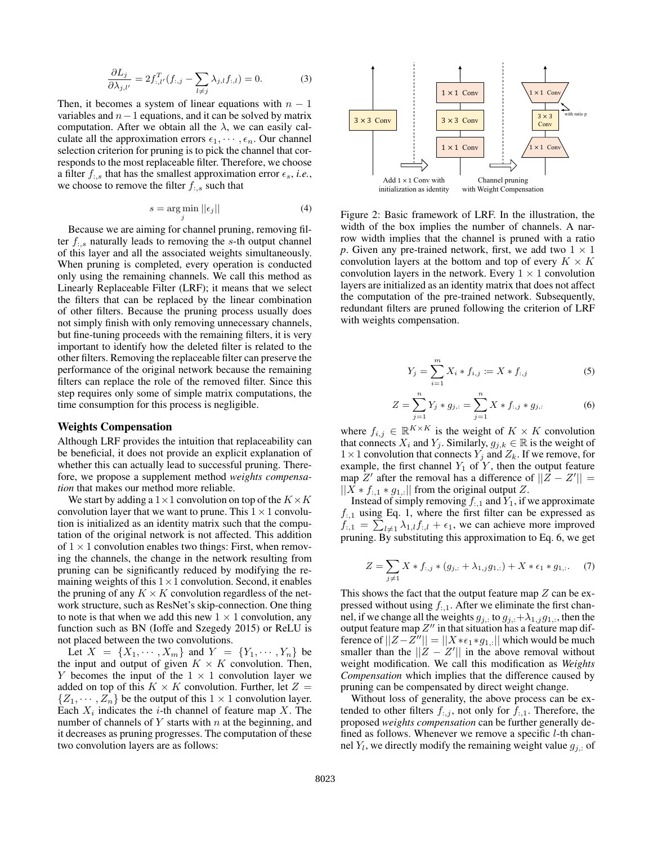$$
\frac{\partial L_j}{\partial \lambda_{j,l'}} = 2f_{:,l'}^T(f_{:,j} - \sum_{l \neq j} \lambda_{j,l}f_{:,l}) = 0.
$$
 (3)

Then, it becomes a system of linear equations with  $n - 1$ variables and  $n-1$  equations, and it can be solved by matrix computation. After we obtain all the  $\lambda$ , we can easily calculate all the approximation errors  $\epsilon_1, \dots, \epsilon_n$ . Our channel selection criterion for pruning is to pick the channel that corresponds to the most replaceable filter. Therefore, we choose a filter  $f_{\cdot,s}$  that has the smallest approximation error  $\epsilon_s$ , *i.e.*, we choose to remove the filter  $f_{\cdot,s}$  such that

$$
s = \underset{j}{\arg\min} \left| |\epsilon_j| \right| \tag{4}
$$

Because we are aiming for channel pruning, removing filter  $f_{:,s}$  naturally leads to removing the s-th output channel of this layer and all the associated weights simultaneously. When pruning is completed, every operation is conducted only using the remaining channels. We call this method as Linearly Replaceable Filter (LRF); it means that we select the filters that can be replaced by the linear combination of other filters. Because the pruning process usually does not simply finish with only removing unnecessary channels, but fine-tuning proceeds with the remaining filters, it is very important to identify how the deleted filter is related to the other filters. Removing the replaceable filter can preserve the performance of the original network because the remaining filters can replace the role of the removed filter. Since this step requires only some of simple matrix computations, the time consumption for this process is negligible.

#### Weights Compensation

Although LRF provides the intuition that replaceability can be beneficial, it does not provide an explicit explanation of whether this can actually lead to successful pruning. Therefore, we propose a supplement method *weights compensation* that makes our method more reliable.

We start by adding a  $1\times1$  convolution on top of the  $K\times K$ convolution layer that we want to prune. This  $1 \times 1$  convolution is initialized as an identity matrix such that the computation of the original network is not affected. This addition of  $1 \times 1$  convolution enables two things: First, when removing the channels, the change in the network resulting from pruning can be significantly reduced by modifying the remaining weights of this  $1 \times 1$  convolution. Second, it enables the pruning of any  $K \times K$  convolution regardless of the network structure, such as ResNet's skip-connection. One thing to note is that when we add this new  $1 \times 1$  convolution, any function such as BN (Ioffe and Szegedy 2015) or ReLU is not placed between the two convolutions.

Let  $X = \{X_1, \dots, X_m\}$  and  $Y = \{Y_1, \dots, Y_n\}$  be the input and output of given  $K \times K$  convolution. Then, Y becomes the input of the  $1 \times 1$  convolution layer we added on top of this  $K \times K$  convolution. Further, let  $Z =$  $\{Z_1, \dots, Z_n\}$  be the output of this  $1 \times 1$  convolution layer. Each  $X_i$  indicates the *i*-th channel of feature map X. The number of channels of  $Y$  starts with  $n$  at the beginning, and it decreases as pruning progresses. The computation of these two convolution layers are as follows:



Figure 2: Basic framework of LRF. In the illustration, the width of the box implies the number of channels. A narrow width implies that the channel is pruned with a ratio *p*. Given any pre-trained network, first, we add two  $1 \times 1$ convolution layers at the bottom and top of every  $K \times K$ convolution layers in the network. Every  $1 \times 1$  convolution layers are initialized as an identity matrix that does not affect the computation of the pre-trained network. Subsequently, redundant filters are pruned following the criterion of LRF with weights compensation.

$$
Y_j = \sum_{i=1}^{m} X_i * f_{i,j} \coloneqq X * f_{:,j} \tag{5}
$$

$$
Z = \sum_{j=1}^{n} Y_j * g_{j,:} = \sum_{j=1}^{n} X * f_{:,j} * g_{j,:}
$$
 (6)

where  $f_{i,j} \in \mathbb{R}^{K \times K}$  is the weight of  $K \times K$  convolution that connects  $X_i$  and  $Y_j$ . Similarly,  $g_{j,k} \in \mathbb{R}$  is the weight of  $1 \times 1$  convolution that connects  $Y_j$  and  $Z_k$ . If we remove, for example, the first channel  $Y_1$  of Y, then the output feature map  $Z'$  after the removal has a difference of  $||\overline{Z} - Z'|| =$  $||X * f_{:,1} * g_{1,:}||$  from the original output Z.

Instead of simply removing  $f_{:,1}$  and  $Y_1$ , if we approximate  $f_{:,1}$  using Eq. 1, where the first filter can be expressed as  $f_{:,1} = \sum_{l \neq 1} \lambda_{1,l} f_{:,l} + \epsilon_1$ , we can achieve more improved pruning. By substituting this approximation to Eq. 6, we get

$$
Z = \sum_{j \neq 1} X * f_{:,j} * (g_{j,:} + \lambda_{1,j} g_{1,:}) + X * \epsilon_1 * g_{1,:}. \tag{7}
$$

This shows the fact that the output feature map  $Z$  can be expressed without using  $f_{:,1}$ . After we eliminate the first channel, if we change all the weights  $g_{j,:}$  to  $g_{j,:} + \lambda_{1,j} g_{1,:}$ , then the output feature map  $Z''$  in that situation has a feature map difference of  $||Z - Z''|| = ||X * \epsilon_1 * g_{1,:}||$  which would be much smaller than the  $||Z - Z'||$  in the above removal without weight modification. We call this modification as *Weights Compensation* which implies that the difference caused by pruning can be compensated by direct weight change.

Without loss of generality, the above process can be extended to other filters  $f_{:,j}$ , not only for  $f_{:,1}$ . Therefore, the proposed *weights compensation* can be further generally defined as follows. Whenever we remove a specific *l*-th channel  $Y_l$ , we directly modify the remaining weight value  $g_{j,:}$  of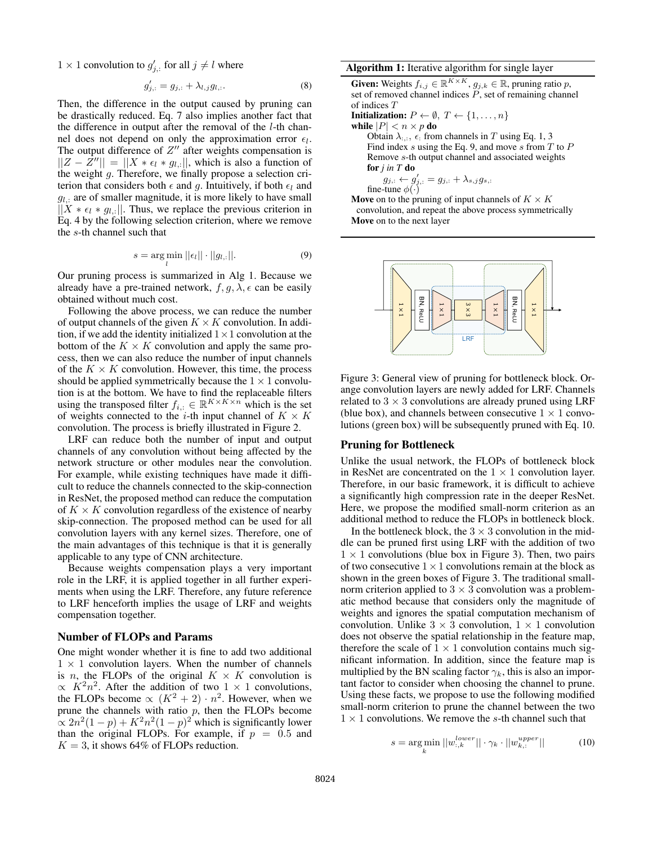$1 \times 1$  convolution to  $g'_{j,:}$  for all  $j \neq l$  where

$$
g'_{j,:} = g_{j,:} + \lambda_{l,j} g_{l,:}.
$$
 (8)

Then, the difference in the output caused by pruning can be drastically reduced. Eq. 7 also implies another fact that the difference in output after the removal of the l-th channel does not depend on only the approximation error  $\epsilon_l$ . The output difference of  $Z''$  after weights compensation is  $||Z - \overline{Z}''|| = ||X * \epsilon_l * g_{l,:}||$ , which is also a function of the weight g. Therefore, we finally propose a selection criterion that considers both  $\epsilon$  and g. Intuitively, if both  $\epsilon_l$  and  $g_{l,:}$  are of smaller magnitude, it is more likely to have small  $||X * \epsilon_l * g_{l,:}||$ . Thus, we replace the previous criterion in Eq. 4 by the following selection criterion, where we remove the s-th channel such that

$$
s = \underset{l}{\arg\min} \, ||\epsilon_l|| \cdot ||g_{l,:}||. \tag{9}
$$

Our pruning process is summarized in Alg 1. Because we already have a pre-trained network,  $f, g, \lambda, \epsilon$  can be easily obtained without much cost.

Following the above process, we can reduce the number of output channels of the given  $K \times K$  convolution. In addition, if we add the identity initialized  $1 \times 1$  convolution at the bottom of the  $K \times K$  convolution and apply the same process, then we can also reduce the number of input channels of the  $K \times K$  convolution. However, this time, the process should be applied symmetrically because the  $1 \times 1$  convolution is at the bottom. We have to find the replaceable filters using the transposed filter  $f_{i,:} \in \mathbb{R}^{K \times K \times n}$  which is the set of weights connected to the i-th input channel of  $K \times K$ convolution. The process is briefly illustrated in Figure 2.

LRF can reduce both the number of input and output channels of any convolution without being affected by the network structure or other modules near the convolution. For example, while existing techniques have made it difficult to reduce the channels connected to the skip-connection in ResNet, the proposed method can reduce the computation of  $K \times K$  convolution regardless of the existence of nearby skip-connection. The proposed method can be used for all convolution layers with any kernel sizes. Therefore, one of the main advantages of this technique is that it is generally applicable to any type of CNN architecture.

Because weights compensation plays a very important role in the LRF, it is applied together in all further experiments when using the LRF. Therefore, any future reference to LRF henceforth implies the usage of LRF and weights compensation together.

#### Number of FLOPs and Params

One might wonder whether it is fine to add two additional  $1 \times 1$  convolution layers. When the number of channels is *n*, the FLOPs of the original  $K \times K$  convolution is  $\propto K^2 n^2$ . After the addition of two 1 × 1 convolutions, the FLOPs become  $\propto (K^2 + 2) \cdot n^2$ . However, when we prune the channels with ratio  $p$ , then the FLOPs become  $\propto 2n^2(1-p) + K^2n^2(1-p)^2$  which is significantly lower than the original FLOPs. For example, if  $p = 0.5$  and  $K = 3$ , it shows 64% of FLOPs reduction.

#### Algorithm 1: Iterative algorithm for single layer

**Given:** Weights  $f_{i,j} \in \mathbb{R}^{K \times K}$ ,  $g_{j,k} \in \mathbb{R}$ , pruning ratio p, set of removed channel indices  $P$ , set of remaining channel of indices T **Initialization:**  $P \leftarrow \emptyset, T \leftarrow \{1, \ldots, n\}$ while  $|P| < n \times p$  do Obtain  $\lambda_{:,:}$ ,  $\epsilon$  from channels in T using Eq. 1, 3 Find index s using the Eq. 9, and move s from  $T$  to  $P$ Remove s-th output channel and associated weights for *j in T* do  $g_{j,:} \leftarrow g'_{j,:} = g_{j,:} + \lambda_{s,j} g_{s,:}$ fine-tune  $\phi(\cdot)$ Move on to the pruning of input channels of  $K \times K$ convolution, and repeat the above process symmetrically

Move on to the next layer



Figure 3: General view of pruning for bottleneck block. Orange convolution layers are newly added for LRF. Channels related to  $3 \times 3$  convolutions are already pruned using LRF (blue box), and channels between consecutive  $1 \times 1$  convolutions (green box) will be subsequently pruned with Eq. 10.

#### Pruning for Bottleneck

Unlike the usual network, the FLOPs of bottleneck block in ResNet are concentrated on the  $1 \times 1$  convolution layer. Therefore, in our basic framework, it is difficult to achieve a significantly high compression rate in the deeper ResNet. Here, we propose the modified small-norm criterion as an additional method to reduce the FLOPs in bottleneck block.

In the bottleneck block, the  $3 \times 3$  convolution in the middle can be pruned first using LRF with the addition of two  $1 \times 1$  convolutions (blue box in Figure 3). Then, two pairs of two consecutive  $1 \times 1$  convolutions remain at the block as shown in the green boxes of Figure 3. The traditional smallnorm criterion applied to  $3 \times 3$  convolution was a problematic method because that considers only the magnitude of weights and ignores the spatial computation mechanism of convolution. Unlike  $3 \times 3$  convolution,  $1 \times 1$  convolution does not observe the spatial relationship in the feature map, therefore the scale of  $1 \times 1$  convolution contains much significant information. In addition, since the feature map is multiplied by the BN scaling factor  $\gamma_k$ , this is also an important factor to consider when choosing the channel to prune. Using these facts, we propose to use the following modified small-norm criterion to prune the channel between the two  $1 \times 1$  convolutions. We remove the s-th channel such that

$$
s = \underset{k}{\arg\min} ||w_{:,k}^{lower}|| \cdot \gamma_k \cdot ||w_{k,:}^{upper}|| \tag{10}
$$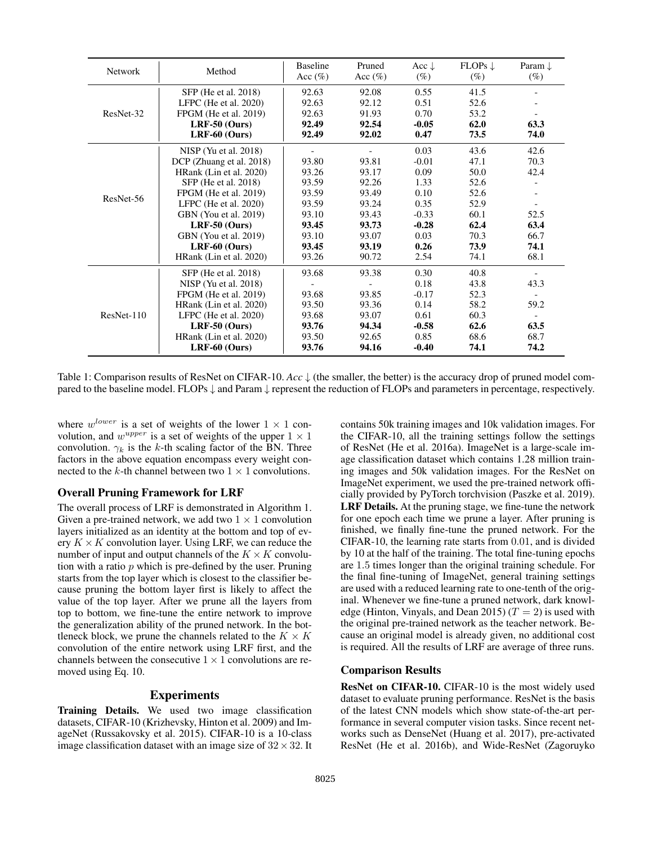| <b>Network</b> | Method                   | <b>Baseline</b><br>Acc $(\% )$ | Pruned<br>Acc $(\%)$ | Acc $\downarrow$<br>$(\%)$ | $FLOPs \downarrow$<br>$(\%)$ | Param $\downarrow$<br>$(\%)$ |
|----------------|--------------------------|--------------------------------|----------------------|----------------------------|------------------------------|------------------------------|
|                | SFP (He et al. 2018)     | 92.63                          | 92.08                | 0.55                       | 41.5                         |                              |
|                | LFPC (He et al. $2020$ ) | 92.63                          | 92.12                | 0.51                       | 52.6                         |                              |
| ResNet-32      | FPGM (He et al. 2019)    | 92.63                          | 91.93                | 0.70                       | 53.2                         |                              |
|                | $LRF-50$ (Ours)          | 92.49                          | 92.54                | $-0.05$                    | 62.0                         | 63.3                         |
|                | $LRF-60$ (Ours)          | 92.49                          | 92.02                | 0.47                       | 73.5                         | 74.0                         |
|                | $NISP$ (Yu et al. 2018)  |                                |                      | 0.03                       | 43.6                         | 42.6                         |
|                | DCP (Zhuang et al. 2018) | 93.80                          | 93.81                | $-0.01$                    | 47.1                         | 70.3                         |
|                | HRank (Lin et al. 2020)  | 93.26                          | 93.17                | 0.09                       | 50.0                         | 42.4                         |
|                | SFP (He et al. 2018)     | 93.59                          | 92.26                | 1.33                       | 52.6                         |                              |
| ResNet-56      | FPGM (He et al. 2019)    | 93.59                          | 93.49                | 0.10                       | 52.6                         |                              |
|                | LFPC (He et al. $2020$ ) | 93.59                          | 93.24                | 0.35                       | 52.9                         |                              |
|                | GBN (You et al. 2019)    | 93.10                          | 93.43                | $-0.33$                    | 60.1                         | 52.5                         |
|                | $LRF-50$ (Ours)          | 93.45                          | 93.73                | $-0.28$                    | 62.4                         | 63.4                         |
|                | GBN (You et al. 2019)    | 93.10                          | 93.07                | 0.03                       | 70.3                         | 66.7                         |
|                | $LRF-60$ (Ours)          | 93.45                          | 93.19                | 0.26                       | 73.9                         | 74.1                         |
|                | HRank (Lin et al. 2020)  | 93.26                          | 90.72                | 2.54                       | 74.1                         | 68.1                         |
|                | SFP (He et al. 2018)     | 93.68                          | 93.38                | 0.30                       | 40.8                         |                              |
| $ResNet-110$   | $NISP$ (Yu et al. 2018)  |                                |                      | 0.18                       | 43.8                         | 43.3                         |
|                | FPGM (He et al. 2019)    | 93.68                          | 93.85                | $-0.17$                    | 52.3                         |                              |
|                | HRank (Lin et al. 2020)  | 93.50                          | 93.36                | 0.14                       | 58.2                         | 59.2                         |
|                | LFPC (He et al. $2020$ ) | 93.68                          | 93.07                | 0.61                       | 60.3                         | $\overline{\phantom{a}}$     |
|                | $LRF-50$ (Ours)          | 93.76                          | 94.34                | $-0.58$                    | 62.6                         | 63.5                         |
|                | HRank (Lin et al. 2020)  | 93.50                          | 92.65                | 0.85                       | 68.6                         | 68.7                         |
|                | $LRF-60$ (Ours)          | 93.76                          | 94.16                | $-0.40$                    | 74.1                         | 74.2                         |

Table 1: Comparison results of ResNet on CIFAR-10. *Acc* ↓ (the smaller, the better) is the accuracy drop of pruned model compared to the baseline model. FLOPs  $\downarrow$  and Param  $\downarrow$  represent the reduction of FLOPs and parameters in percentage, respectively.

where  $w^{lower}$  is a set of weights of the lower  $1 \times 1$  convolution, and  $w^{upper}$  is a set of weights of the upper  $1 \times 1$ convolution.  $\gamma_k$  is the k-th scaling factor of the BN. Three factors in the above equation encompass every weight connected to the k-th channel between two  $1 \times 1$  convolutions.

## Overall Pruning Framework for LRF

The overall process of LRF is demonstrated in Algorithm 1. Given a pre-trained network, we add two  $1 \times 1$  convolution layers initialized as an identity at the bottom and top of every  $K \times K$  convolution layer. Using LRF, we can reduce the number of input and output channels of the  $K \times K$  convolution with a ratio  $p$  which is pre-defined by the user. Pruning starts from the top layer which is closest to the classifier because pruning the bottom layer first is likely to affect the value of the top layer. After we prune all the layers from top to bottom, we fine-tune the entire network to improve the generalization ability of the pruned network. In the bottleneck block, we prune the channels related to the  $K \times K$ convolution of the entire network using LRF first, and the channels between the consecutive  $1 \times 1$  convolutions are removed using Eq. 10.

#### Experiments

Training Details. We used two image classification datasets, CIFAR-10 (Krizhevsky, Hinton et al. 2009) and ImageNet (Russakovsky et al. 2015). CIFAR-10 is a 10-class image classification dataset with an image size of  $32 \times 32$ . It contains 50k training images and 10k validation images. For the CIFAR-10, all the training settings follow the settings of ResNet (He et al. 2016a). ImageNet is a large-scale image classification dataset which contains 1.28 million training images and 50k validation images. For the ResNet on ImageNet experiment, we used the pre-trained network officially provided by PyTorch torchvision (Paszke et al. 2019). LRF Details. At the pruning stage, we fine-tune the network for one epoch each time we prune a layer. After pruning is finished, we finally fine-tune the pruned network. For the CIFAR-10, the learning rate starts from 0.01, and is divided by 10 at the half of the training. The total fine-tuning epochs are 1.5 times longer than the original training schedule. For the final fine-tuning of ImageNet, general training settings are used with a reduced learning rate to one-tenth of the original. Whenever we fine-tune a pruned network, dark knowledge (Hinton, Vinyals, and Dean 2015) ( $T = 2$ ) is used with the original pre-trained network as the teacher network. Because an original model is already given, no additional cost is required. All the results of LRF are average of three runs.

## Comparison Results

ResNet on CIFAR-10. CIFAR-10 is the most widely used dataset to evaluate pruning performance. ResNet is the basis of the latest CNN models which show state-of-the-art performance in several computer vision tasks. Since recent networks such as DenseNet (Huang et al. 2017), pre-activated ResNet (He et al. 2016b), and Wide-ResNet (Zagoruyko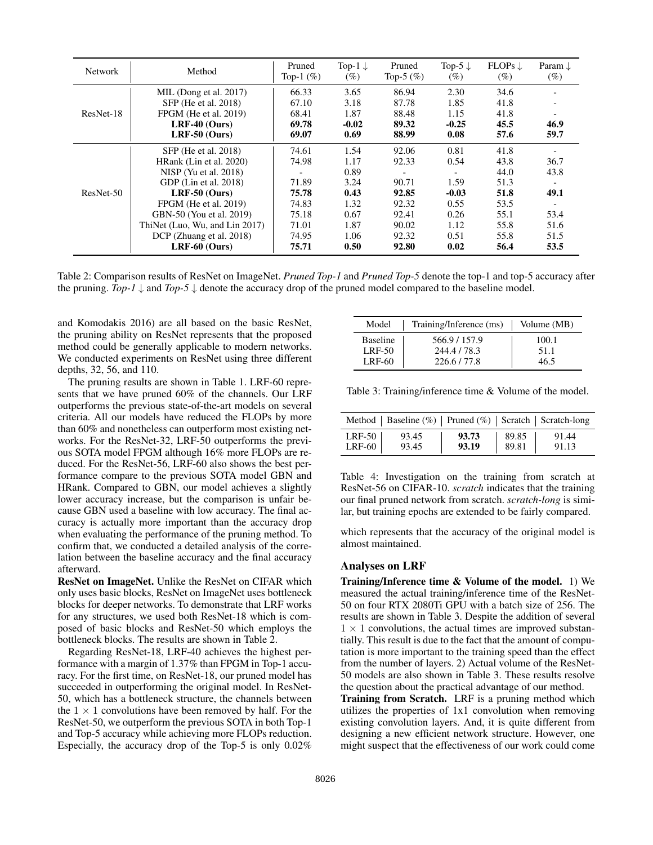| <b>Network</b> | Method                         | Pruned<br>Top-1 $(\%)$ | Top-1 $\downarrow$<br>(%) | Pruned<br>Top-5 $(\%)$ | Top-5 $\downarrow$<br>(%) | $FLOPs \downarrow$<br>(%) | Param $\downarrow$<br>(%) |
|----------------|--------------------------------|------------------------|---------------------------|------------------------|---------------------------|---------------------------|---------------------------|
|                | MIL (Dong et al. 2017)         | 66.33                  | 3.65                      | 86.94                  | 2.30                      | 34.6                      |                           |
|                | SFP (He et al. 2018)           | 67.10                  | 3.18                      | 87.78                  | 1.85                      | 41.8                      |                           |
| ResNet-18      | FPGM (He et al. 2019)          | 68.41                  | 1.87                      | 88.48                  | 1.15                      | 41.8                      |                           |
|                | $LRF-40$ (Ours)                | 69.78                  | $-0.02$                   | 89.32                  | $-0.25$                   | 45.5                      | 46.9                      |
|                | LRF-50 $(Ours)$                | 69.07                  | 0.69                      | 88.99                  | 0.08                      | 57.6                      | 59.7                      |
| ResNet-50      | SFP (He et al. 2018)           | 74.61                  | 1.54                      | 92.06                  | 0.81                      | 41.8                      |                           |
|                | HRank (Lin et al. 2020)        | 74.98                  | 1.17                      | 92.33                  | 0.54                      | 43.8                      | 36.7                      |
|                | $NISP$ (Yu et al. 2018)        |                        | 0.89                      |                        |                           | 44.0                      | 43.8                      |
|                | GDP (Lin et al. 2018)          | 71.89                  | 3.24                      | 90.71                  | 1.59                      | 51.3                      |                           |
|                | $LRF-50$ (Ours)                | 75.78                  | 0.43                      | 92.85                  | $-0.03$                   | 51.8                      | 49.1                      |
|                | FPGM (He et al. 2019)          | 74.83                  | 1.32                      | 92.32                  | 0.55                      | 53.5                      |                           |
|                | GBN-50 (You et al. 2019)       | 75.18                  | 0.67                      | 92.41                  | 0.26                      | 55.1                      | 53.4                      |
|                | ThiNet (Luo, Wu, and Lin 2017) | 71.01                  | 1.87                      | 90.02                  | 1.12                      | 55.8                      | 51.6                      |
|                | DCP (Zhuang et al. 2018)       | 74.95                  | 1.06                      | 92.32                  | 0.51                      | 55.8                      | 51.5                      |
|                | $LRF-60$ (Ours)                | 75.71                  | 0.50                      | 92.80                  | 0.02                      | 56.4                      | 53.5                      |

Table 2: Comparison results of ResNet on ImageNet. *Pruned Top-1* and *Pruned Top-5* denote the top-1 and top-5 accuracy after the pruning.  $Top-1 \downarrow$  and  $Top-5 \downarrow$  denote the accuracy drop of the pruned model compared to the baseline model.

and Komodakis 2016) are all based on the basic ResNet, the pruning ability on ResNet represents that the proposed method could be generally applicable to modern networks. We conducted experiments on ResNet using three different depths, 32, 56, and 110.

The pruning results are shown in Table 1. LRF-60 represents that we have pruned 60% of the channels. Our LRF outperforms the previous state-of-the-art models on several criteria. All our models have reduced the FLOPs by more than 60% and nonetheless can outperform most existing networks. For the ResNet-32, LRF-50 outperforms the previous SOTA model FPGM although 16% more FLOPs are reduced. For the ResNet-56, LRF-60 also shows the best performance compare to the previous SOTA model GBN and HRank. Compared to GBN, our model achieves a slightly lower accuracy increase, but the comparison is unfair because GBN used a baseline with low accuracy. The final accuracy is actually more important than the accuracy drop when evaluating the performance of the pruning method. To confirm that, we conducted a detailed analysis of the correlation between the baseline accuracy and the final accuracy afterward.

ResNet on ImageNet. Unlike the ResNet on CIFAR which only uses basic blocks, ResNet on ImageNet uses bottleneck blocks for deeper networks. To demonstrate that LRF works for any structures, we used both ResNet-18 which is composed of basic blocks and ResNet-50 which employs the bottleneck blocks. The results are shown in Table 2.

Regarding ResNet-18, LRF-40 achieves the highest performance with a margin of 1.37% than FPGM in Top-1 accuracy. For the first time, on ResNet-18, our pruned model has succeeded in outperforming the original model. In ResNet-50, which has a bottleneck structure, the channels between the  $1 \times 1$  convolutions have been removed by half. For the ResNet-50, we outperform the previous SOTA in both Top-1 and Top-5 accuracy while achieving more FLOPs reduction. Especially, the accuracy drop of the Top-5 is only 0.02%

| Model           | Training/Inference (ms) | Volume (MB) |
|-----------------|-------------------------|-------------|
| <b>Baseline</b> | 566.9/157.9             | 100.1       |
| <b>LRF-50</b>   | 244.4/78.3              | 51.1        |
| <b>LRF-60</b>   | 226.6/77.8              | 46.5        |

Table 3: Training/inference time & Volume of the model.

|               | Method   Baseline (%)   Pruned (%)   Scratch   Scratch-long |       |       |       |
|---------------|-------------------------------------------------------------|-------|-------|-------|
| $LRF-50$      | 93.45                                                       | 93.73 | 89.85 | 91.44 |
| <b>LRF-60</b> | 93.45                                                       | 93.19 | 89.81 | 91.13 |

Table 4: Investigation on the training from scratch at ResNet-56 on CIFAR-10. *scratch* indicates that the training our final pruned network from scratch. *scratch-long* is similar, but training epochs are extended to be fairly compared.

which represents that the accuracy of the original model is almost maintained.

#### Analyses on LRF

Training/Inference time & Volume of the model. 1) We measured the actual training/inference time of the ResNet-50 on four RTX 2080Ti GPU with a batch size of 256. The results are shown in Table 3. Despite the addition of several  $1 \times 1$  convolutions, the actual times are improved substantially. This result is due to the fact that the amount of computation is more important to the training speed than the effect from the number of layers. 2) Actual volume of the ResNet-50 models are also shown in Table 3. These results resolve the question about the practical advantage of our method.

Training from Scratch. LRF is a pruning method which utilizes the properties of 1x1 convolution when removing existing convolution layers. And, it is quite different from designing a new efficient network structure. However, one might suspect that the effectiveness of our work could come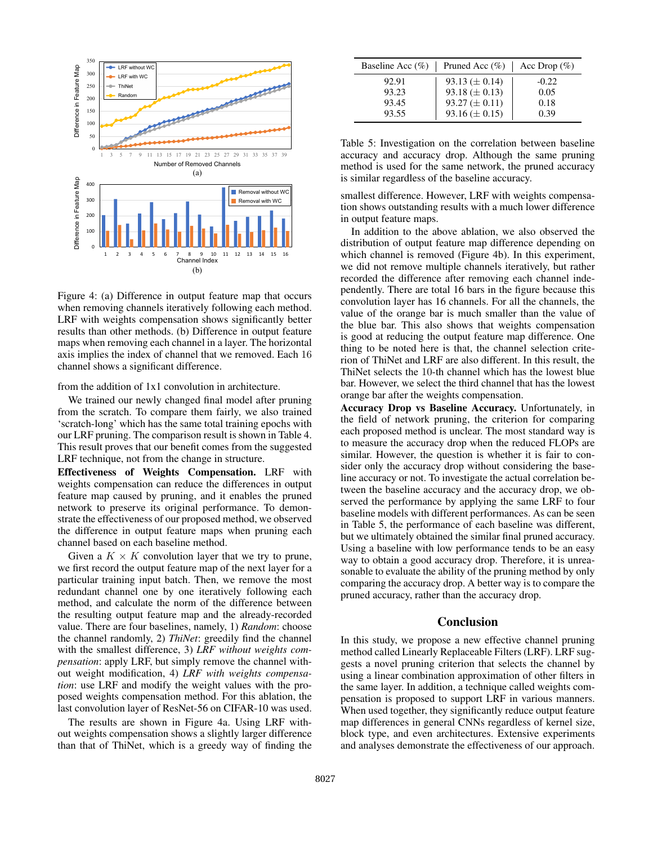

Figure 4: (a) Difference in output feature map that occurs when removing channels iteratively following each method. LRF with weights compensation shows significantly better results than other methods. (b) Difference in output feature maps when removing each channel in a layer. The horizontal axis implies the index of channel that we removed. Each 16 channel shows a significant difference.

from the addition of 1x1 convolution in architecture.

We trained our newly changed final model after pruning from the scratch. To compare them fairly, we also trained 'scratch-long' which has the same total training epochs with our LRF pruning. The comparison result is shown in Table 4. This result proves that our benefit comes from the suggested LRF technique, not from the change in structure.

Effectiveness of Weights Compensation. LRF with weights compensation can reduce the differences in output feature map caused by pruning, and it enables the pruned network to preserve its original performance. To demonstrate the effectiveness of our proposed method, we observed the difference in output feature maps when pruning each channel based on each baseline method.

Given a  $K \times K$  convolution layer that we try to prune, we first record the output feature map of the next layer for a particular training input batch. Then, we remove the most redundant channel one by one iteratively following each method, and calculate the norm of the difference between the resulting output feature map and the already-recorded value. There are four baselines, namely, 1) *Random*: choose the channel randomly, 2) *ThiNet*: greedily find the channel with the smallest difference, 3) *LRF without weights compensation*: apply LRF, but simply remove the channel without weight modification, 4) *LRF with weights compensation*: use LRF and modify the weight values with the proposed weights compensation method. For this ablation, the last convolution layer of ResNet-56 on CIFAR-10 was used.

The results are shown in Figure 4a. Using LRF without weights compensation shows a slightly larger difference than that of ThiNet, which is a greedy way of finding the

| Baseline Acc $(\%)$ | Pruned Acc $(\% )$   | Acc Drop $(\%)$ |
|---------------------|----------------------|-----------------|
| 92.91               | $93.13 \ (\pm 0.14)$ | $-0.22$         |
| 93.23               | 93.18 ( $\pm$ 0.13)  | 0.05            |
| 93.45               | $93.27 \ (\pm 0.11)$ | 0.18            |
| 93.55               | 93.16 ( $\pm$ 0.15)  | 0.39            |

Table 5: Investigation on the correlation between baseline accuracy and accuracy drop. Although the same pruning method is used for the same network, the pruned accuracy is similar regardless of the baseline accuracy.

smallest difference. However, LRF with weights compensation shows outstanding results with a much lower difference in output feature maps.

In addition to the above ablation, we also observed the distribution of output feature map difference depending on which channel is removed (Figure 4b). In this experiment, we did not remove multiple channels iteratively, but rather recorded the difference after removing each channel independently. There are total 16 bars in the figure because this convolution layer has 16 channels. For all the channels, the value of the orange bar is much smaller than the value of the blue bar. This also shows that weights compensation is good at reducing the output feature map difference. One thing to be noted here is that, the channel selection criterion of ThiNet and LRF are also different. In this result, the ThiNet selects the 10-th channel which has the lowest blue bar. However, we select the third channel that has the lowest orange bar after the weights compensation.

Accuracy Drop vs Baseline Accuracy. Unfortunately, in the field of network pruning, the criterion for comparing each proposed method is unclear. The most standard way is to measure the accuracy drop when the reduced FLOPs are similar. However, the question is whether it is fair to consider only the accuracy drop without considering the baseline accuracy or not. To investigate the actual correlation between the baseline accuracy and the accuracy drop, we observed the performance by applying the same LRF to four baseline models with different performances. As can be seen in Table 5, the performance of each baseline was different, but we ultimately obtained the similar final pruned accuracy. Using a baseline with low performance tends to be an easy way to obtain a good accuracy drop. Therefore, it is unreasonable to evaluate the ability of the pruning method by only comparing the accuracy drop. A better way is to compare the pruned accuracy, rather than the accuracy drop.

## **Conclusion**

In this study, we propose a new effective channel pruning method called Linearly Replaceable Filters (LRF). LRF suggests a novel pruning criterion that selects the channel by using a linear combination approximation of other filters in the same layer. In addition, a technique called weights compensation is proposed to support LRF in various manners. When used together, they significantly reduce output feature map differences in general CNNs regardless of kernel size, block type, and even architectures. Extensive experiments and analyses demonstrate the effectiveness of our approach.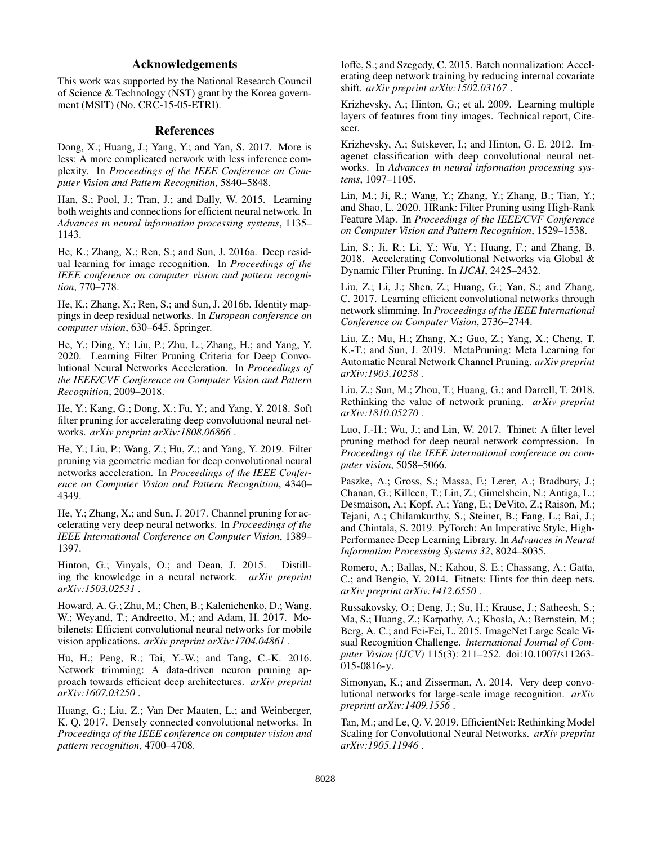## Acknowledgements

This work was supported by the National Research Council of Science & Technology (NST) grant by the Korea government (MSIT) (No. CRC-15-05-ETRI).

## References

Dong, X.; Huang, J.; Yang, Y.; and Yan, S. 2017. More is less: A more complicated network with less inference complexity. In *Proceedings of the IEEE Conference on Computer Vision and Pattern Recognition*, 5840–5848.

Han, S.; Pool, J.; Tran, J.; and Dally, W. 2015. Learning both weights and connections for efficient neural network. In *Advances in neural information processing systems*, 1135– 1143.

He, K.; Zhang, X.; Ren, S.; and Sun, J. 2016a. Deep residual learning for image recognition. In *Proceedings of the IEEE conference on computer vision and pattern recognition*, 770–778.

He, K.; Zhang, X.; Ren, S.; and Sun, J. 2016b. Identity mappings in deep residual networks. In *European conference on computer vision*, 630–645. Springer.

He, Y.; Ding, Y.; Liu, P.; Zhu, L.; Zhang, H.; and Yang, Y. 2020. Learning Filter Pruning Criteria for Deep Convolutional Neural Networks Acceleration. In *Proceedings of the IEEE/CVF Conference on Computer Vision and Pattern Recognition*, 2009–2018.

He, Y.; Kang, G.; Dong, X.; Fu, Y.; and Yang, Y. 2018. Soft filter pruning for accelerating deep convolutional neural networks. *arXiv preprint arXiv:1808.06866* .

He, Y.; Liu, P.; Wang, Z.; Hu, Z.; and Yang, Y. 2019. Filter pruning via geometric median for deep convolutional neural networks acceleration. In *Proceedings of the IEEE Conference on Computer Vision and Pattern Recognition*, 4340– 4349.

He, Y.; Zhang, X.; and Sun, J. 2017. Channel pruning for accelerating very deep neural networks. In *Proceedings of the IEEE International Conference on Computer Vision*, 1389– 1397.

Hinton, G.; Vinyals, O.; and Dean, J. 2015. Distilling the knowledge in a neural network. *arXiv preprint arXiv:1503.02531* .

Howard, A. G.; Zhu, M.; Chen, B.; Kalenichenko, D.; Wang, W.; Weyand, T.; Andreetto, M.; and Adam, H. 2017. Mobilenets: Efficient convolutional neural networks for mobile vision applications. *arXiv preprint arXiv:1704.04861* .

Hu, H.; Peng, R.; Tai, Y.-W.; and Tang, C.-K. 2016. Network trimming: A data-driven neuron pruning approach towards efficient deep architectures. *arXiv preprint arXiv:1607.03250* .

Huang, G.; Liu, Z.; Van Der Maaten, L.; and Weinberger, K. Q. 2017. Densely connected convolutional networks. In *Proceedings of the IEEE conference on computer vision and pattern recognition*, 4700–4708.

Ioffe, S.; and Szegedy, C. 2015. Batch normalization: Accelerating deep network training by reducing internal covariate shift. *arXiv preprint arXiv:1502.03167* .

Krizhevsky, A.; Hinton, G.; et al. 2009. Learning multiple layers of features from tiny images. Technical report, Citeseer.

Krizhevsky, A.; Sutskever, I.; and Hinton, G. E. 2012. Imagenet classification with deep convolutional neural networks. In *Advances in neural information processing systems*, 1097–1105.

Lin, M.; Ji, R.; Wang, Y.; Zhang, Y.; Zhang, B.; Tian, Y.; and Shao, L. 2020. HRank: Filter Pruning using High-Rank Feature Map. In *Proceedings of the IEEE/CVF Conference on Computer Vision and Pattern Recognition*, 1529–1538.

Lin, S.; Ji, R.; Li, Y.; Wu, Y.; Huang, F.; and Zhang, B. 2018. Accelerating Convolutional Networks via Global & Dynamic Filter Pruning. In *IJCAI*, 2425–2432.

Liu, Z.; Li, J.; Shen, Z.; Huang, G.; Yan, S.; and Zhang, C. 2017. Learning efficient convolutional networks through network slimming. In *Proceedings of the IEEE International Conference on Computer Vision*, 2736–2744.

Liu, Z.; Mu, H.; Zhang, X.; Guo, Z.; Yang, X.; Cheng, T. K.-T.; and Sun, J. 2019. MetaPruning: Meta Learning for Automatic Neural Network Channel Pruning. *arXiv preprint arXiv:1903.10258* .

Liu, Z.; Sun, M.; Zhou, T.; Huang, G.; and Darrell, T. 2018. Rethinking the value of network pruning. *arXiv preprint arXiv:1810.05270* .

Luo, J.-H.; Wu, J.; and Lin, W. 2017. Thinet: A filter level pruning method for deep neural network compression. In *Proceedings of the IEEE international conference on computer vision*, 5058–5066.

Paszke, A.; Gross, S.; Massa, F.; Lerer, A.; Bradbury, J.; Chanan, G.; Killeen, T.; Lin, Z.; Gimelshein, N.; Antiga, L.; Desmaison, A.; Kopf, A.; Yang, E.; DeVito, Z.; Raison, M.; Tejani, A.; Chilamkurthy, S.; Steiner, B.; Fang, L.; Bai, J.; and Chintala, S. 2019. PyTorch: An Imperative Style, High-Performance Deep Learning Library. In *Advances in Neural Information Processing Systems 32*, 8024–8035.

Romero, A.; Ballas, N.; Kahou, S. E.; Chassang, A.; Gatta, C.; and Bengio, Y. 2014. Fitnets: Hints for thin deep nets. *arXiv preprint arXiv:1412.6550* .

Russakovsky, O.; Deng, J.; Su, H.; Krause, J.; Satheesh, S.; Ma, S.; Huang, Z.; Karpathy, A.; Khosla, A.; Bernstein, M.; Berg, A. C.; and Fei-Fei, L. 2015. ImageNet Large Scale Visual Recognition Challenge. *International Journal of Computer Vision (IJCV)* 115(3): 211–252. doi:10.1007/s11263- 015-0816-y.

Simonyan, K.; and Zisserman, A. 2014. Very deep convolutional networks for large-scale image recognition. *arXiv preprint arXiv:1409.1556* .

Tan, M.; and Le, Q. V. 2019. EfficientNet: Rethinking Model Scaling for Convolutional Neural Networks. *arXiv preprint arXiv:1905.11946* .